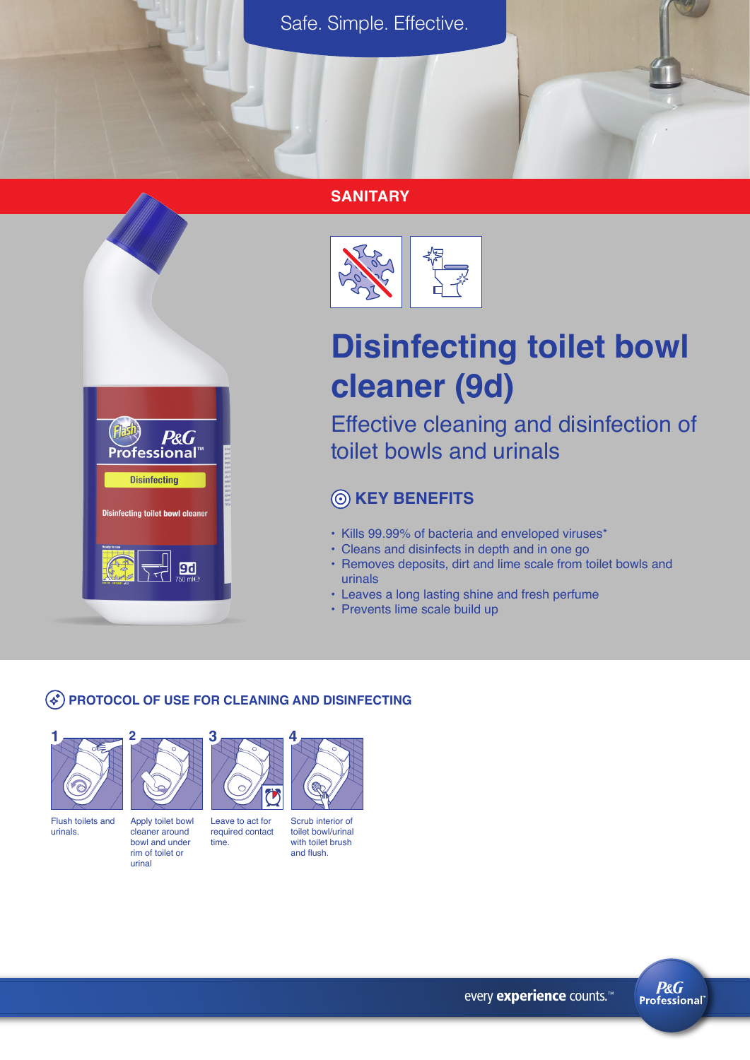Safe. Simple. Effective.

#### **SANITARY**





# **Disinfecting toilet bowl cleaner (9d)**

Effective cleaning and disinfection of toilet bowls and urinals

## **KEY BENEFITS**

- Kills 99.99% of bacteria and enveloped viruses\*
- Cleans and disinfects in depth and in one go
- Removes deposits, dirt and lime scale from toilet bowls and urinals
- Leaves a long lasting shine and fresh perfume
- Prevents lime scale build up

#### **PROTOCOL OF USE FOR CLEANING AND DISINFECTING**





Flush toilets and urinals.

time. Apply toilet bowl cleaner around bowl and under rim of toilet or

urinal



Scrub interior of toilet bowl/urinal with toilet brush

and flush.

**4**

**P&G Professional**